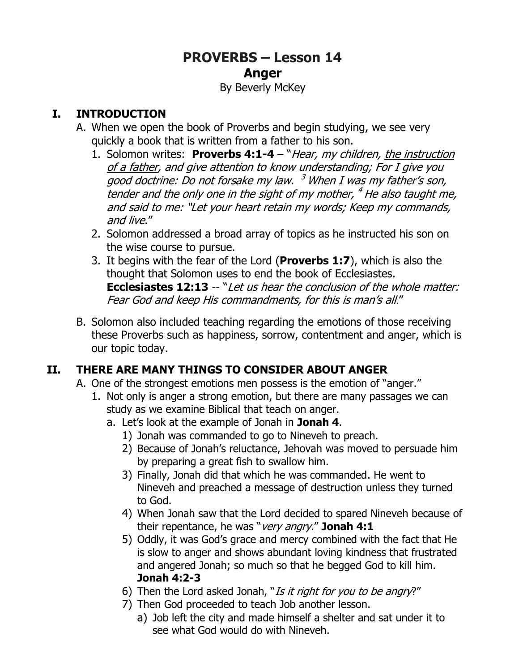# **PROVERBS – Lesson 14 Anger**

#### By Beverly McKey

#### **I. INTRODUCTION**

- A. When we open the book of Proverbs and begin studying, we see very quickly a book that is written from a father to his son.
	- 1. Solomon writes: **Proverbs 4:1-4**  "Hear, my children, the instruction of a father, and give attention to know understanding; For I give you good doctrine: Do not forsake my law. <sup>3</sup> When I was my father's son, tender and the only one in the sight of my mother, <sup>4</sup> He also taught me, and said to me: "Let your heart retain my words; Keep my commands, and live."
	- 2. Solomon addressed a broad array of topics as he instructed his son on the wise course to pursue.
	- 3. It begins with the fear of the Lord (**Proverbs 1:7**), which is also the thought that Solomon uses to end the book of Ecclesiastes. **Ecclesiastes 12:13** -- "Let us hear the conclusion of the whole matter: Fear God and keep His commandments, for this is man's all."
- B. Solomon also included teaching regarding the emotions of those receiving these Proverbs such as happiness, sorrow, contentment and anger, which is our topic today.

### **II. THERE ARE MANY THINGS TO CONSIDER ABOUT ANGER**

- A. One of the strongest emotions men possess is the emotion of "anger."
	- 1. Not only is anger a strong emotion, but there are many passages we can study as we examine Biblical that teach on anger.
		- a. Let's look at the example of Jonah in **Jonah 4**.
			- 1) Jonah was commanded to go to Nineveh to preach.
			- 2) Because of Jonah's reluctance, Jehovah was moved to persuade him by preparing a great fish to swallow him.
			- 3) Finally, Jonah did that which he was commanded. He went to Nineveh and preached a message of destruction unless they turned to God.
			- 4) When Jonah saw that the Lord decided to spared Nineveh because of their repentance, he was "very angry." **Jonah 4:1**
			- 5) Oddly, it was God's grace and mercy combined with the fact that He is slow to anger and shows abundant loving kindness that frustrated and angered Jonah; so much so that he begged God to kill him. **Jonah 4:2-3**
			- 6) Then the Lord asked Jonah, "Is it right for you to be angry?"
			- 7) Then God proceeded to teach Job another lesson.
				- a) Job left the city and made himself a shelter and sat under it to see what God would do with Nineveh.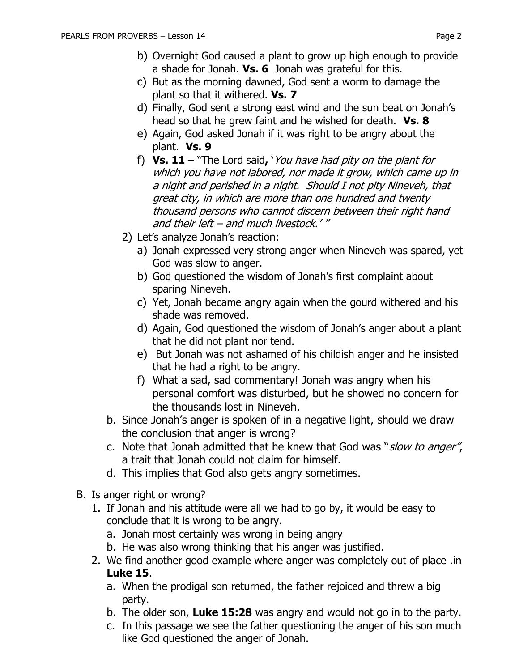- b) Overnight God caused a plant to grow up high enough to provide a shade for Jonah. **Vs. 6** Jonah was grateful for this.
- c) But as the morning dawned, God sent a worm to damage the plant so that it withered. **Vs. 7**
- d) Finally, God sent a strong east wind and the sun beat on Jonah's head so that he grew faint and he wished for death. **Vs. 8**
- e) Again, God asked Jonah if it was right to be angry about the plant. **Vs. 9**
- f) **Vs. 11**  "The Lord said**,** 'You have had pity on the plant for which you have not labored, nor made it grow, which came up in a night and perished in a night. Should I not pity Nineveh, that great city, in which are more than one hundred and twenty thousand persons who cannot discern between their right hand and their left – and much livestock.' "
- 2) Let's analyze Jonah's reaction:
	- a) Jonah expressed very strong anger when Nineveh was spared, yet God was slow to anger.
	- b) God questioned the wisdom of Jonah's first complaint about sparing Nineveh.
	- c) Yet, Jonah became angry again when the gourd withered and his shade was removed.
	- d) Again, God questioned the wisdom of Jonah's anger about a plant that he did not plant nor tend.
	- e) But Jonah was not ashamed of his childish anger and he insisted that he had a right to be angry.
	- f) What a sad, sad commentary! Jonah was angry when his personal comfort was disturbed, but he showed no concern for the thousands lost in Nineveh.
- b. Since Jonah's anger is spoken of in a negative light, should we draw the conclusion that anger is wrong?
- c. Note that Jonah admitted that he knew that God was "*slow to anger"*, a trait that Jonah could not claim for himself.
- d. This implies that God also gets angry sometimes.
- B. Is anger right or wrong?
	- 1. If Jonah and his attitude were all we had to go by, it would be easy to conclude that it is wrong to be angry.
		- a. Jonah most certainly was wrong in being angry
		- b. He was also wrong thinking that his anger was justified.
	- 2. We find another good example where anger was completely out of place .in **Luke 15**.
		- a. When the prodigal son returned, the father rejoiced and threw a big party.
		- b. The older son, **Luke 15:28** was angry and would not go in to the party.
		- c. In this passage we see the father questioning the anger of his son much like God questioned the anger of Jonah.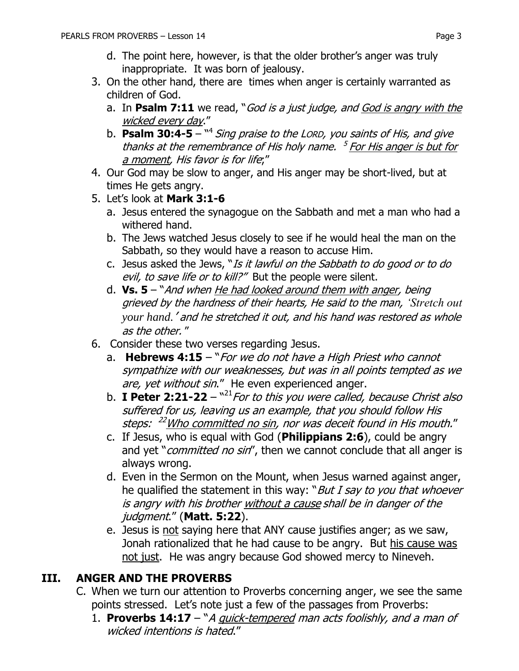- d. The point here, however, is that the older brother's anger was truly inappropriate. It was born of jealousy.
- 3. On the other hand, there are times when anger is certainly warranted as children of God.
	- a. In **Psalm 7:11** we read, "God is a just judge, and God is angry with the wicked every day."
	- b. **Psalm 30:4-5** <sup>14</sup> Sing praise to the Lorp, you saints of His, and give thanks at the remembrance of His holy name. <sup>5</sup> For His anger is but for a moment, His favor is for life;"
- 4. Our God may be slow to anger, and His anger may be short-lived, but at times He gets angry.
- 5. Let's look at **Mark 3:1-6**
	- a. Jesus entered the synagogue on the Sabbath and met a man who had a withered hand.
	- b. The Jews watched Jesus closely to see if he would heal the man on the Sabbath, so they would have a reason to accuse Him.
	- c. Jesus asked the Jews, "Is it lawful on the Sabbath to do good or to do evil, to save life or to kill?" But the people were silent.
	- d. **Vs. 5**  "And when He had looked around them with anger, being grieved by the hardness of their hearts, He said to the man, *'Stretch out your hand.*' and he stretched it out, and his hand was restored as whole as the other. "
- 6. Consider these two verses regarding Jesus.
	- a. **Hebrews 4:15** "For we do not have a High Priest who cannot sympathize with our weaknesses, but was in all points tempted as we are, yet without sin." He even experienced anger.
	- b. **I Peter 2:21-22** "<sup>21</sup> For to this you were called, because Christ also suffered for us, leaving us an example, that you should follow His steps: <sup>22</sup>Who committed no sin, nor was deceit found in His mouth."
	- c. If Jesus, who is equal with God (**Philippians 2:6**), could be angry and yet "*committed no sin*", then we cannot conclude that all anger is always wrong.
	- d. Even in the Sermon on the Mount, when Jesus warned against anger, he qualified the statement in this way: "But I say to you that whoever is angry with his brother without a cause shall be in danger of the judgment." (**Matt. 5:22**).
	- e. Jesus is not saying here that ANY cause justifies anger; as we saw, Jonah rationalized that he had cause to be angry. But his cause was not just. He was angry because God showed mercy to Nineveh.

#### **III. ANGER AND THE PROVERBS**

- C. When we turn our attention to Proverbs concerning anger, we see the same points stressed. Let's note just a few of the passages from Proverbs:
	- 1. **Proverbs 14:17** "A quick-tempered man acts foolishly, and a man of wicked intentions is hated."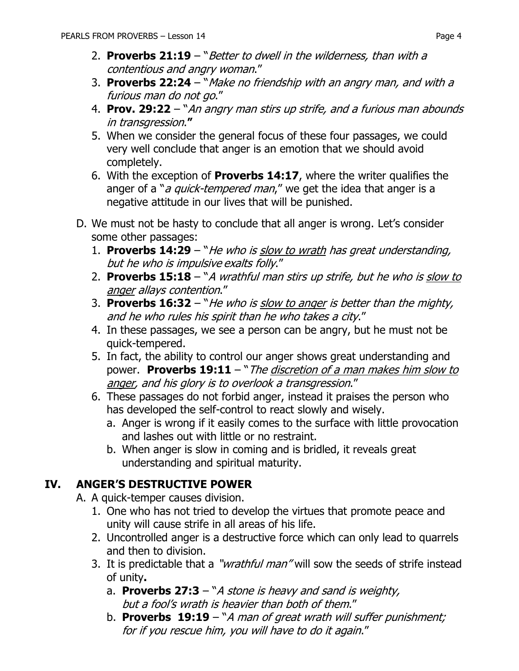- 2. **Proverbs 21:19** "Better to dwell in the wilderness, than with a contentious and angry woman."
- 3. **Proverbs 22:24** "Make no friendship with an angry man, and with a furious man do not go."
- 4. **Prov. 29:22** "An angry man stirs up strife, and a furious man abounds in transgression.**"**
- 5. When we consider the general focus of these four passages, we could very well conclude that anger is an emotion that we should avoid completely.
- 6. With the exception of **Proverbs 14:17**, where the writer qualifies the anger of a "*a quick-tempered man*," we get the idea that anger is a negative attitude in our lives that will be punished.
- D. We must not be hasty to conclude that all anger is wrong. Let's consider some other passages:
	- 1. **Proverbs 14:29** "He who is slow to wrath has great understanding, but he who is impulsive exalts folly."
	- 2. **Proverbs 15:18**  "A wrathful man stirs up strife, but he who is slow to anger allays contention."
	- 3. **Proverbs 16:32** "He who is slow to anger is better than the mighty, and he who rules his spirit than he who takes a city."
	- 4. In these passages, we see a person can be angry, but he must not be quick-tempered.
	- 5. In fact, the ability to control our anger shows great understanding and power. **Proverbs 19:11** – "The discretion of a man makes him slow to anger, and his glory is to overlook a transgression."
	- 6. These passages do not forbid anger, instead it praises the person who has developed the self-control to react slowly and wisely.
		- a. Anger is wrong if it easily comes to the surface with little provocation and lashes out with little or no restraint.
		- b. When anger is slow in coming and is bridled, it reveals great understanding and spiritual maturity.

## **IV. ANGER'S DESTRUCTIVE POWER**

A. A quick-temper causes division.

- 1. One who has not tried to develop the virtues that promote peace and unity will cause strife in all areas of his life.
- 2. Uncontrolled anger is a destructive force which can only lead to quarrels and then to division.
- 3. It is predictable that a "*wrathful man*" will sow the seeds of strife instead of unity**.**
	- a. **Proverbs 27:3** "A stone is heavy and sand is weighty, but a fool's wrath is heavier than both of them."
	- b. **Proverbs 19:19** "A man of great wrath will suffer punishment; for if you rescue him, you will have to do it again."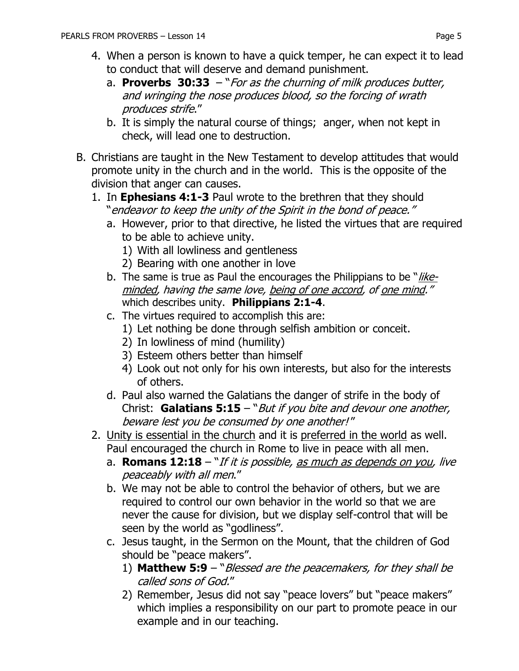- 4. When a person is known to have a quick temper, he can expect it to lead to conduct that will deserve and demand punishment.
	- a. **Proverbs 30:33**  "For as the churning of milk produces butter, and wringing the nose produces blood, so the forcing of wrath produces strife."
	- b. It is simply the natural course of things; anger, when not kept in check, will lead one to destruction.
- B. Christians are taught in the New Testament to develop attitudes that would promote unity in the church and in the world. This is the opposite of the division that anger can causes.
	- 1. In **Ephesians 4:1-3** Paul wrote to the brethren that they should "endeavor to keep the unity of the Spirit in the bond of peace."
		- a. However, prior to that directive, he listed the virtues that are required to be able to achieve unity.
			- 1) With all lowliness and gentleness
			- 2) Bearing with one another in love
		- b. The same is true as Paul the encourages the Philippians to be "likeminded, having the same love, being of one accord, of one mind." which describes unity. **Philippians 2:1-4**.
		- c. The virtues required to accomplish this are:
			- 1) Let nothing be done through selfish ambition or conceit.
			- 2) In lowliness of mind (humility)
			- 3) Esteem others better than himself
			- 4) Look out not only for his own interests, but also for the interests of others.
		- d. Paul also warned the Galatians the danger of strife in the body of Christ: **Galatians 5:15** – "But if you bite and devour one another, beware lest you be consumed by one another! "
	- 2. Unity is essential in the church and it is preferred in the world as well. Paul encouraged the church in Rome to live in peace with all men.
		- a. **[Romans 12:18](https://www.biblegateway.com/passage/?search=Romans+12:18&version=NKJV)** "If it is possible, as much as depends on you, live peaceably with all men."
		- b. We may not be able to control the behavior of others, but we are required to control our own behavior in the world so that we are never the cause for division, but we display self-control that will be seen by the world as "godliness".
		- c. Jesus taught, in the Sermon on the Mount, that the children of God should be "peace makers".
			- 1) **Matthew 5:9** "Blessed are the peacemakers, for they shall be called sons of God."
			- 2) Remember, Jesus did not say "peace lovers" but "peace makers" which implies a responsibility on our part to promote peace in our example and in our teaching.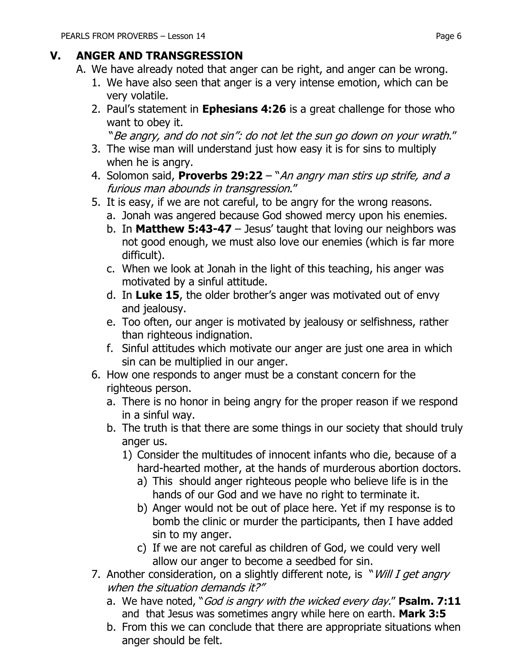#### **V. ANGER AND TRANSGRESSION**

- A. We have already noted that anger can be right, and anger can be wrong.
	- 1. We have also seen that anger is a very intense emotion, which can be very volatile.
	- 2. Paul's statement in **Ephesians 4:26** is a great challenge for those who want to obey it.

"Be angry, and do not sin": do not let the sun go down on your wrath."

- 3. The wise man will understand just how easy it is for sins to multiply when he is angry.
- 4. Solomon said, **Proverbs 29:22**  "An angry man stirs up strife, and a furious man abounds in transgression."
- 5. It is easy, if we are not careful, to be angry for the wrong reasons.
	- a. Jonah was angered because God showed mercy upon his enemies.
	- b. In **Matthew 5:43-47** Jesus' taught that loving our neighbors was not good enough, we must also love our enemies (which is far more difficult).
	- c. When we look at Jonah in the light of this teaching, his anger was motivated by a sinful attitude.
	- d. In **Luke 15**, the older brother's anger was motivated out of envy and jealousy.
	- e. Too often, our anger is motivated by jealousy or selfishness, rather than righteous indignation.
	- f. Sinful attitudes which motivate our anger are just one area in which sin can be multiplied in our anger.
- 6. How one responds to anger must be a constant concern for the righteous person.
	- a. There is no honor in being angry for the proper reason if we respond in a sinful way.
	- b. The truth is that there are some things in our society that should truly anger us.
		- 1) Consider the multitudes of innocent infants who die, because of a hard-hearted mother, at the hands of murderous abortion doctors.
			- a) This should anger righteous people who believe life is in the hands of our God and we have no right to terminate it.
			- b) Anger would not be out of place here. Yet if my response is to bomb the clinic or murder the participants, then I have added sin to my anger.
			- c) If we are not careful as children of God, we could very well allow our anger to become a seedbed for sin.
- 7. Another consideration, on a slightly different note, is "*Will I get angry* when the situation demands it?"
	- a. We have noted, "God is angry with the wicked every day." **Psalm. 7:11** and that Jesus was sometimes angry while here on earth. **Mark 3:5**
	- b. From this we can conclude that there are appropriate situations when anger should be felt.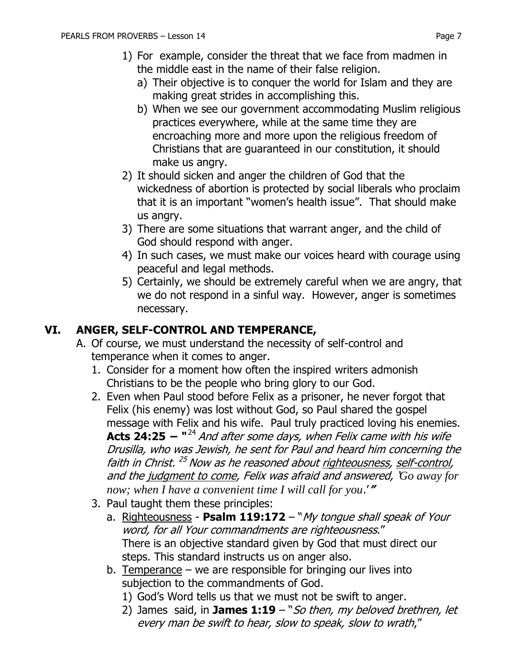- 1) For example, consider the threat that we face from madmen in the middle east in the name of their false religion.
	- a) Their objective is to conquer the world for Islam and they are making great strides in accomplishing this.
	- b) When we see our government accommodating Muslim religious practices everywhere, while at the same time they are encroaching more and more upon the religious freedom of Christians that are guaranteed in our constitution, it should make us angry.
- 2) It should sicken and anger the children of God that the wickedness of abortion is protected by social liberals who proclaim that it is an important "women's health issue". That should make us angry.
- 3) There are some situations that warrant anger, and the child of God should respond with anger.
- 4) In such cases, we must make our voices heard with courage using peaceful and legal methods.
- 5) Certainly, we should be extremely careful when we are angry, that we do not respond in a sinful way. However, anger is sometimes necessary.

#### **VI. ANGER, SELF-CONTROL AND TEMPERANCE,**

- A. Of course, we must understand the necessity of self-control and temperance when it comes to anger.
	- 1. Consider for a moment how often the inspired writers admonish Christians to be the people who bring glory to our God.
	- 2. Even when Paul stood before Felix as a prisoner, he never forgot that Felix (his enemy) was lost without God, so Paul shared the gospel message with Felix and his wife. Paul truly practiced loving his enemies. **Acts 24:25 – "**<sup>24</sup> And after some days, when Felix came with his wife Drusilla, who was Jewish, he sent for Paul and heard him concerning the faith in Christ. <sup>25</sup> Now as he reasoned about <u>righteousness</u>, <u>self-control</u>, and the judgment to come, Felix was afraid and answered, '*Go away for now; when I have a convenient time I will call for you*.'**"**
	- 3. Paul taught them these principles:
		- a. Righteousness **Psalm 119:172** "My tongue shall speak of Your word, for all Your commandments are righteousness." There is an objective standard given by God that must direct our steps. This standard instructs us on anger also.
		- b. Temperance  $-$  we are responsible for bringing our lives into subjection to the commandments of God.
			- 1) God's Word tells us that we must not be swift to anger.
			- 2) James said, in **James 1:19**  "So then, my beloved brethren, let every man be swift to hear, slow to speak, slow to wrath,"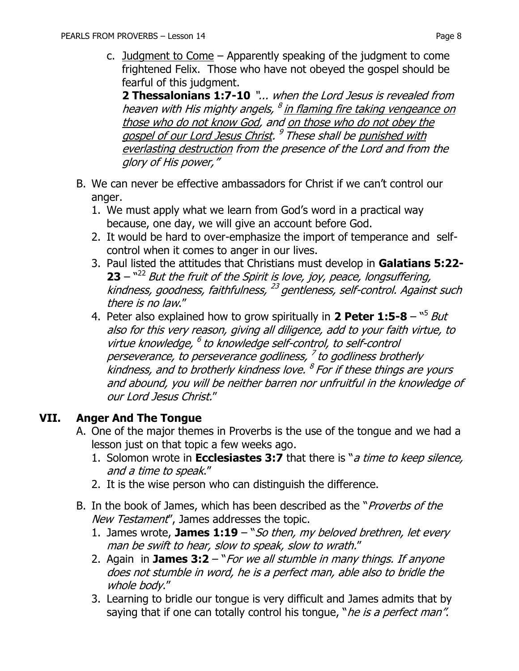**2 Thessalonians 1:7-10** "... when the Lord Jesus is revealed from heaven with His mighty angels, <sup>8</sup> i<u>n flaming fire taking vengeance on</u> those who do not know God, and on those who do not obey the gospel of our Lord Jesus Christ. <sup>9</sup> These shall be punished with everlasting destruction from the presence of the Lord and from the glory of His power,"

- B. We can never be effective ambassadors for Christ if we can't control our anger.
	- 1. We must apply what we learn from God's word in a practical way because, one day, we will give an account before God.
	- 2. It would be hard to over-emphasize the import of temperance and selfcontrol when it comes to anger in our lives.
	- 3. Paul listed the attitudes that Christians must develop in **Galatians 5:22- 23** – <sup>22</sup> But the fruit of the Spirit is love, joy, peace, longsuffering, kindness, goodness, faithfulness, <sup>23</sup> gentleness, self-control. Against such there is no law."
	- 4. Peter also explained how to grow spiritually in 2 Peter 1:5-8 "<sup>5</sup> But also for this very reason, giving all diligence, add to your faith virtue, to virtue knowledge, <sup>6</sup> to knowledge self-control, to self-control perseverance, to perseverance godliness, <sup>7</sup> to godliness brotherly kindness, and to brotherly kindness love. <sup>8</sup> For if these things are yours and abound, you will be neither barren nor unfruitful in the knowledge of our Lord Jesus Christ."

#### **VII. Anger And The Tongue**

- A. One of the major themes in Proverbs is the use of the tongue and we had a lesson just on that topic a few weeks ago.
	- 1. Solomon wrote in **Ecclesiastes 3:7** that there is "a time to keep silence, and a time to speak."
	- 2. It is the wise person who can distinguish the difference.
- B. In the book of James, which has been described as the "*Proverbs of the* New Testament", James addresses the topic.
	- 1. James wrote, **James 1:19**  "So then, my beloved brethren, let every man be swift to hear, slow to speak, slow to wrath."
	- 2. Again in **James 3:2**  "For we all stumble in many things. If anyone does not stumble in word, he is a perfect man, able also to bridle the whole body."
	- 3. Learning to bridle our tongue is very difficult and James admits that by saying that if one can totally control his tongue, "he is a perfect man".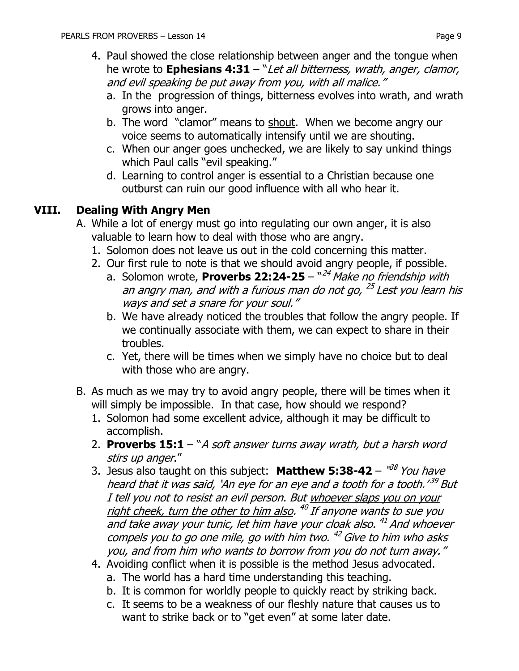- a. In the progression of things, bitterness evolves into wrath, and wrath grows into anger.
- b. The word "clamor" means to shout. When we become angry our voice seems to automatically intensify until we are shouting.
- c. When our anger goes unchecked, we are likely to say unkind things which Paul calls "evil speaking."
- d. Learning to control anger is essential to a Christian because one outburst can ruin our good influence with all who hear it.

#### **VIII. Dealing With Angry Men**

- A. While a lot of energy must go into regulating our own anger, it is also valuable to learn how to deal with those who are angry.
	- 1. Solomon does not leave us out in the cold concerning this matter.
	- 2. Our first rule to note is that we should avoid angry people, if possible.
		- a. Solomon wrote, **Proverbs 22:24-25**  " <sup>24</sup> Make no friendship with an angry man, and with a furious man do not go, <sup>25</sup> Lest you learn his ways and set a snare for your soul."
		- b. We have already noticed the troubles that follow the angry people. If we continually associate with them, we can expect to share in their troubles.
		- c. Yet, there will be times when we simply have no choice but to deal with those who are angry.
- B. As much as we may try to avoid angry people, there will be times when it will simply be impossible. In that case, how should we respond?
	- 1. Solomon had some excellent advice, although it may be difficult to accomplish.
	- 2. **Proverbs 15:1**  "A soft answer turns away wrath, but a harsh word stirs up anger."
	- 3. Jesus also taught on this subject: **Matthew 5:38-42** "<sup>38</sup> You have heard that it was said, `An eye for an eye and a tooth for a tooth.'<sup>39</sup> But I tell you not to resist an evil person. But whoever slaps you on your right cheek, turn the other to him also. <sup>40</sup> If anyone wants to sue you and take away your tunic, let him have your cloak also. <sup>41</sup> And whoever compels you to go one mile, go with him two.  $^{42}$  Give to him who asks you, and from him who wants to borrow from you do not turn away."
	- 4. Avoiding conflict when it is possible is the method Jesus advocated.
		- a. The world has a hard time understanding this teaching.
		- b. It is common for worldly people to quickly react by striking back.
		- c. It seems to be a weakness of our fleshly nature that causes us to want to strike back or to "get even" at some later date.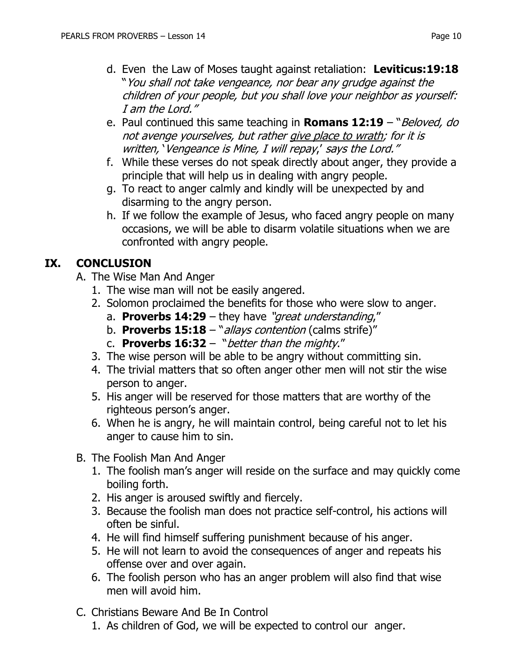- d. Even the Law of Moses taught against retaliation: **Leviticus:19:18**  "You shall not take vengeance, nor bear any grudge against the children of your people, but you shall love your neighbor as yourself: I am the Lord."
- e. Paul continued this same teaching in **Romans 12:19** "Beloved, do not avenge yourselves, but rather give place to wrath; for it is written, 'Vengeance is Mine, I will repay,' says the Lord."
- f. While these verses do not speak directly about anger, they provide a principle that will help us in dealing with angry people.
- g. To react to anger calmly and kindly will be unexpected by and disarming to the angry person.
- h. If we follow the example of Jesus, who faced angry people on many occasions, we will be able to disarm volatile situations when we are confronted with angry people.

#### **IX. CONCLUSION**

- A. The Wise Man And Anger
	- 1. The wise man will not be easily angered.
	- 2. Solomon proclaimed the benefits for those who were slow to anger.
		- a. **Proverbs 14:29**  they have "great understanding,"
		- b. **Proverbs 15:18** "*allays contention* (calms strife)"
		- c. **Proverbs 16:32**  "better than the mighty."
	- 3. The wise person will be able to be angry without committing sin.
	- 4. The trivial matters that so often anger other men will not stir the wise person to anger.
	- 5. His anger will be reserved for those matters that are worthy of the righteous person's anger.
	- 6. When he is angry, he will maintain control, being careful not to let his anger to cause him to sin.
- B. The Foolish Man And Anger
	- 1. The foolish man's anger will reside on the surface and may quickly come boiling forth.
	- 2. His anger is aroused swiftly and fiercely.
	- 3. Because the foolish man does not practice self-control, his actions will often be sinful.
	- 4. He will find himself suffering punishment because of his anger.
	- 5. He will not learn to avoid the consequences of anger and repeats his offense over and over again.
	- 6. The foolish person who has an anger problem will also find that wise men will avoid him.
- C. Christians Beware And Be In Control
	- 1. As children of God, we will be expected to control our anger.